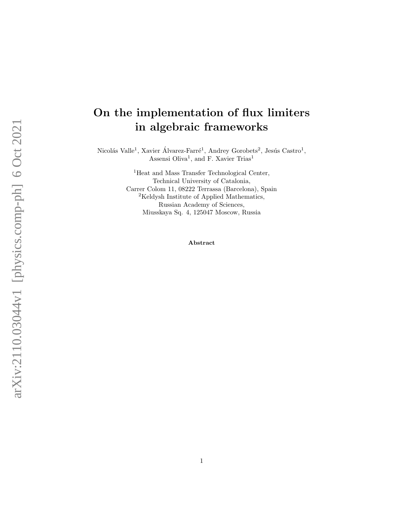# On the implementation of flux limiters in algebraic frameworks

Nicolás Valle<sup>1</sup>, Xavier Álvarez-Farré<sup>1</sup>, Andrey Gorobets<sup>2</sup>, Jesús Castro<sup>1</sup>, Assensi Oliva<sup>1</sup>, and F. Xavier Trias<sup>1</sup>

> <sup>1</sup>Heat and Mass Transfer Technological Center, Technical University of Catalonia, Carrer Colom 11, 08222 Terrassa (Barcelona), Spain <sup>2</sup>Keldysh Institute of Applied Mathematics, Russian Academy of Sciences, Miusskaya Sq. 4, 125047 Moscow, Russia

> > Abstract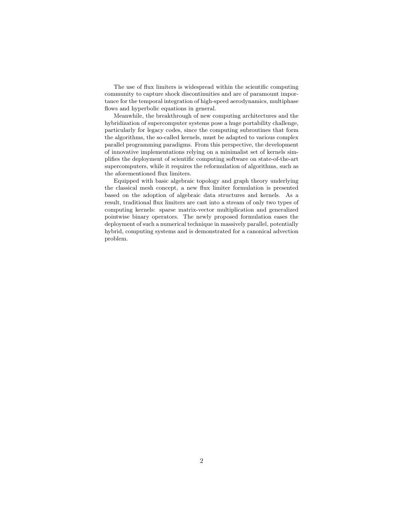The use of flux limiters is widespread within the scientific computing community to capture shock discontinuities and are of paramount importance for the temporal integration of high-speed aerodynamics, multiphase flows and hyperbolic equations in general.

Meanwhile, the breakthrough of new computing architectures and the hybridization of supercomputer systems pose a huge portability challenge, particularly for legacy codes, since the computing subroutines that form the algorithms, the so-called kernels, must be adapted to various complex parallel programming paradigms. From this perspective, the development of innovative implementations relying on a minimalist set of kernels simplifies the deployment of scientific computing software on state-of-the-art supercomputers, while it requires the reformulation of algorithms, such as the aforementioned flux limiters.

Equipped with basic algebraic topology and graph theory underlying the classical mesh concept, a new flux limiter formulation is presented based on the adoption of algebraic data structures and kernels. As a result, traditional flux limiters are cast into a stream of only two types of computing kernels: sparse matrix-vector multiplication and generalized pointwise binary operators. The newly proposed formulation eases the deployment of such a numerical technique in massively parallel, potentially hybrid, computing systems and is demonstrated for a canonical advection problem.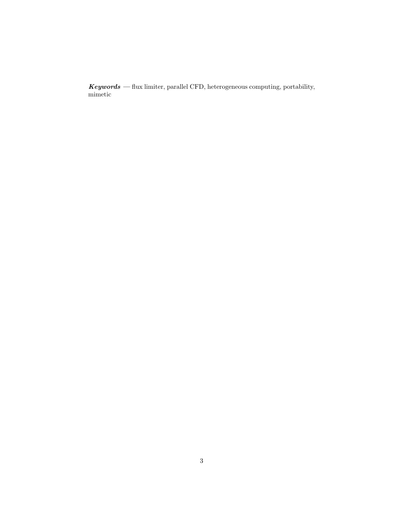$Keywords$  — flux limiter, parallel CFD, heterogeneous computing, portability, mimetic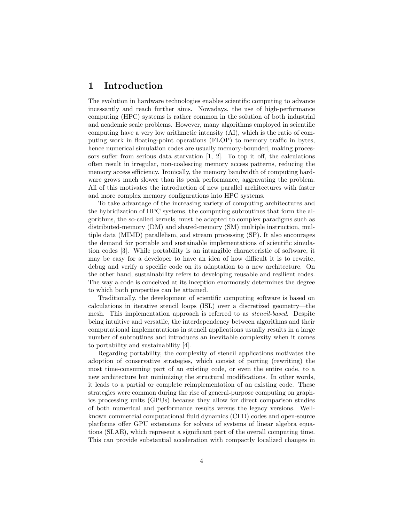### 1 Introduction

The evolution in hardware technologies enables scientific computing to advance incessantly and reach further aims. Nowadays, the use of high-performance computing (HPC) systems is rather common in the solution of both industrial and academic scale problems. However, many algorithms employed in scientific computing have a very low arithmetic intensity (AI), which is the ratio of computing work in floating-point operations (FLOP) to memory traffic in bytes, hence numerical simulation codes are usually memory-bounded, making processors suffer from serious data starvation  $[1, 2]$  $[1, 2]$ . To top it off, the calculations often result in irregular, non-coalescing memory access patterns, reducing the memory access efficiency. Ironically, the memory bandwidth of computing hardware grows much slower than its peak performance, aggravating the problem. All of this motivates the introduction of new parallel architectures with faster and more complex memory configurations into HPC systems.

To take advantage of the increasing variety of computing architectures and the hybridization of HPC systems, the computing subroutines that form the algorithms, the so-called kernels, must be adapted to complex paradigms such as distributed-memory (DM) and shared-memory (SM) multiple instruction, multiple data (MIMD) parallelism, and stream processing (SP). It also encourages the demand for portable and sustainable implementations of scientific simulation codes [\[3\]](#page-30-2). While portability is an intangible characteristic of software, it may be easy for a developer to have an idea of how difficult it is to rewrite, debug and verify a specific code on its adaptation to a new architecture. On the other hand, sustainability refers to developing reusable and resilient codes. The way a code is conceived at its inception enormously determines the degree to which both properties can be attained.

Traditionally, the development of scientific computing software is based on calculations in iterative stencil loops (ISL) over a discretized geometry—the mesh. This implementation approach is referred to as stencil-based. Despite being intuitive and versatile, the interdependency between algorithms and their computational implementations in stencil applications usually results in a large number of subroutines and introduces an inevitable complexity when it comes to portability and sustainability [\[4\]](#page-30-3).

Regarding portability, the complexity of stencil applications motivates the adoption of conservative strategies, which consist of porting (rewriting) the most time-consuming part of an existing code, or even the entire code, to a new architecture but minimizing the structural modifications. In other words, it leads to a partial or complete reimplementation of an existing code. These strategies were common during the rise of general-purpose computing on graphics processing units (GPUs) because they allow for direct comparison studies of both numerical and performance results versus the legacy versions. Wellknown commercial computational fluid dynamics (CFD) codes and open-source platforms offer GPU extensions for solvers of systems of linear algebra equations (SLAE), which represent a significant part of the overall computing time. This can provide substantial acceleration with compactly localized changes in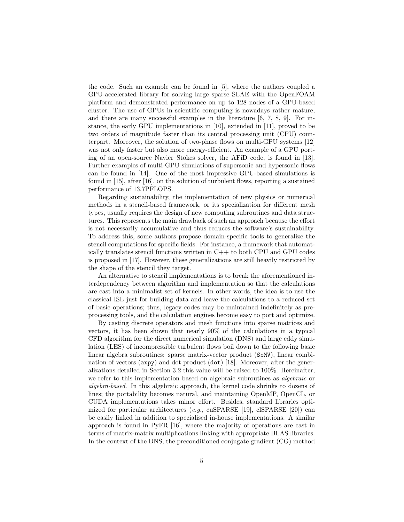the code. Such an example can be found in [\[5\]](#page-30-4), where the authors coupled a GPU-accelerated library for solving large sparse SLAE with the OpenFOAM platform and demonstrated performance on up to 128 nodes of a GPU-based cluster. The use of GPUs in scientific computing is nowadays rather mature, and there are many successful examples in the literature  $[6, 7, 8, 9]$  $[6, 7, 8, 9]$  $[6, 7, 8, 9]$  $[6, 7, 8, 9]$ . For instance, the early GPU implementations in [\[10\]](#page-30-9), extended in [\[11\]](#page-30-10), proved to be two orders of magnitude faster than its central processing unit (CPU) counterpart. Moreover, the solution of two-phase flows on multi-GPU systems [\[12\]](#page-30-11) was not only faster but also more energy-efficient. An example of a GPU porting of an open-source Navier–Stokes solver, the AFiD code, is found in [\[13\]](#page-30-12). Further examples of multi-GPU simulations of supersonic and hypersonic flows can be found in [\[14\]](#page-30-13). One of the most impressive GPU-based simulations is found in [\[15\]](#page-30-14), after [\[16\]](#page-31-0), on the solution of turbulent flows, reporting a sustained performance of 13.7PFLOPS.

Regarding sustainability, the implementation of new physics or numerical methods in a stencil-based framework, or its specialization for different mesh types, usually requires the design of new computing subroutines and data structures. This represents the main drawback of such an approach because the effort is not necessarily accumulative and thus reduces the software's sustainability. To address this, some authors propose domain-specific tools to generalize the stencil computations for specific fields. For instance, a framework that automatically translates stencil functions written in  $C++$  to both CPU and GPU codes is proposed in [\[17\]](#page-31-1). However, these generalizations are still heavily restricted by the shape of the stencil they target.

An alternative to stencil implementations is to break the aforementioned interdependency between algorithm and implementation so that the calculations are cast into a minimalist set of kernels. In other words, the idea is to use the classical ISL just for building data and leave the calculations to a reduced set of basic operations; thus, legacy codes may be maintained indefinitely as preprocessing tools, and the calculation engines become easy to port and optimize.

By casting discrete operators and mesh functions into sparse matrices and vectors, it has been shown that nearly 90% of the calculations in a typical CFD algorithm for the direct numerical simulation (DNS) and large eddy simulation (LES) of incompressible turbulent flows boil down to the following basic linear algebra subroutines: sparse matrix-vector product (SpMV), linear combination of vectors (axpy) and dot product (dot) [\[18\]](#page-31-2). Moreover, after the generalizations detailed in Section [3.2](#page-15-0) this value will be raised to 100%. Hereinafter, we refer to this implementation based on algebraic subroutines as algebraic or algebra-based. In this algebraic approach, the kernel code shrinks to dozens of lines; the portability becomes natural, and maintaining OpenMP, OpenCL, or CUDA implementations takes minor effort. Besides, standard libraries opti-mized for particular architectures (e.g., cuSPARSE [\[19\]](#page-31-3), clSPARSE [\[20\]](#page-31-4)) can be easily linked in addition to specialised in-house implementations. A similar approach is found in PyFR [\[16\]](#page-31-0), where the majority of operations are cast in terms of matrix-matrix multiplications linking with appropriate BLAS libraries. In the context of the DNS, the preconditioned conjugate gradient (CG) method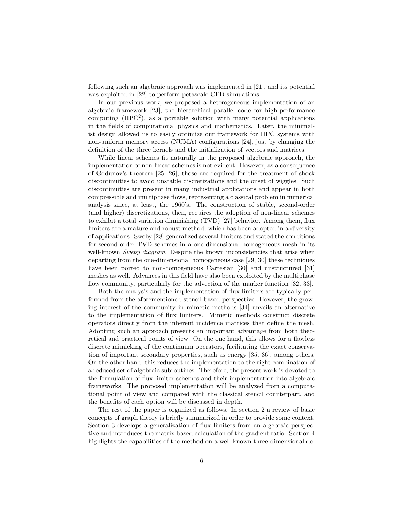following such an algebraic approach was implemented in [\[21\]](#page-31-5), and its potential was exploited in [\[22\]](#page-31-6) to perform petascale CFD simulations.

In our previous work, we proposed a heterogeneous implementation of an algebraic framework [\[23\]](#page-31-7), the hierarchical parallel code for high-performance computing  $(HPC<sup>2</sup>)$ , as a portable solution with many potential applications in the fields of computational physics and mathematics. Later, the minimalist design allowed us to easily optimize our framework for HPC systems with non-uniform memory access (NUMA) configurations [\[24\]](#page-31-8), just by changing the definition of the three kernels and the initialization of vectors and matrices.

While linear schemes fit naturally in the proposed algebraic approach, the implementation of non-linear schemes is not evident. However, as a consequence of Godunov's theorem [\[25,](#page-31-9) [26\]](#page-31-10), those are required for the treatment of shock discontinuities to avoid unstable discretizations and the onset of wiggles. Such discontinuities are present in many industrial applications and appear in both compressible and multiphase flows, representing a classical problem in numerical analysis since, at least, the 1960's. The construction of stable, second-order (and higher) discretizations, then, requires the adoption of non-linear schemes to exhibit a total variation diminishing (TVD) [\[27\]](#page-31-11) behavior. Among them, flux limiters are a mature and robust method, which has been adopted in a diversity of applications. Sweby [\[28\]](#page-31-12) generalized several limiters and stated the conditions for second-order TVD schemes in a one-dimensional homogeneous mesh in its well-known Sweby diagram. Despite the known inconsistencies that arise when departing from the one-dimensional homogeneous case [\[29,](#page-31-13) [30\]](#page-31-14) these techniques have been ported to non-homogeneous Cartesian [\[30\]](#page-31-14) and unstructured [\[31\]](#page-31-15) meshes as well. Advances in this field have also been exploited by the multiphase flow community, particularly for the advection of the marker function [\[32,](#page-31-16) [33\]](#page-32-0).

Both the analysis and the implementation of flux limiters are typically performed from the aforementioned stencil-based perspective. However, the growing interest of the community in mimetic methods [\[34\]](#page-32-1) unveils an alternative to the implementation of flux limiters. Mimetic methods construct discrete operators directly from the inherent incidence matrices that define the mesh. Adopting such an approach presents an important advantage from both theoretical and practical points of view. On the one hand, this allows for a flawless discrete mimicking of the continuum operators, facilitating the exact conservation of important secondary properties, such as energy [\[35,](#page-32-2) [36\]](#page-32-3), among others. On the other hand, this reduces the implementation to the right combination of a reduced set of algebraic subroutines. Therefore, the present work is devoted to the formulation of flux limiter schemes and their implementation into algebraic frameworks. The proposed implementation will be analyzed from a computational point of view and compared with the classical stencil counterpart, and the benefits of each option will be discussed in depth.

The rest of the paper is organized as follows. In section [2](#page-7-0) a review of basic concepts of graph theory is briefly summarized in order to provide some context. Section [3](#page-11-0) develops a generalization of flux limiters from an algebraic perspective and introduces the matrix-based calculation of the gradient ratio. Section [4](#page-22-0) highlights the capabilities of the method on a well-known three-dimensional de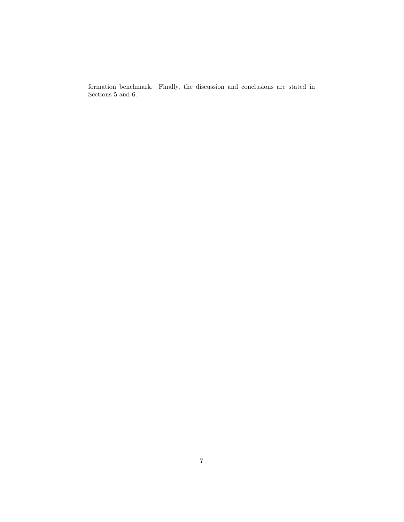formation benchmark. Finally, the discussion and conclusions are stated in Sections [5](#page-26-0) and [6.](#page-28-0)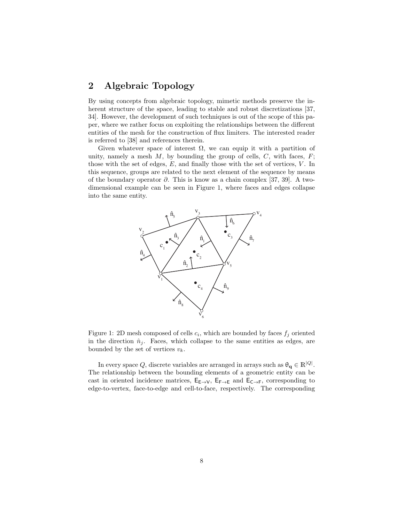# <span id="page-7-0"></span>2 Algebraic Topology

By using concepts from algebraic topology, mimetic methods preserve the in-herent structure of the space, leading to stable and robust discretizations [\[37,](#page-32-4) [34\]](#page-32-1). However, the development of such techniques is out of the scope of this paper, where we rather focus on exploiting the relationships between the different entities of the mesh for the construction of flux limiters. The interested reader is referred to [\[38\]](#page-32-5) and references therein.

Given whatever space of interest  $\Omega$ , we can equip it with a partition of unity, namely a mesh  $M$ , by bounding the group of cells,  $C$ , with faces,  $F$ ; those with the set of edges,  $E$ , and finally those with the set of vertices,  $V$ . In this sequence, groups are related to the next element of the sequence by means of the boundary operator  $\partial$ . This is know as a chain complex [\[37,](#page-32-4) [39\]](#page-32-6). A twodimensional example can be seen in Figure [1,](#page-7-1) where faces and edges collapse into the same entity.

<span id="page-7-1"></span>

Figure 1: 2D mesh composed of cells  $c_i$ , which are bounded by faces  $f_j$  oriented in the direction  $\hat{n}_i$ . Faces, which collapse to the same entities as edges, are bounded by the set of vertices  $v_k$ .

In every space Q, discrete variables are arranged in arrays such as  $\theta_{q} \in \mathbb{R}^{|Q|}$ . The relationship between the bounding elements of a geometric entity can be cast in oriented incidence matrices,  $E_{E\to V}$ ,  $E_{F\to E}$  and  $E_{C\to F}$ , corresponding to edge-to-vertex, face-to-edge and cell-to-face, respectively. The corresponding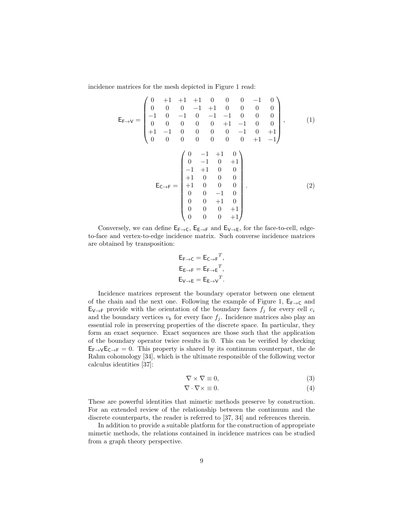incidence matrices for the mesh depicted in Figure [1](#page-7-1) read:

$$
\mathsf{E}_{\mathsf{F}\to\mathsf{V}} = \begin{pmatrix} 0 & +1 & +1 & +1 & 0 & 0 & 0 & -1 & 0 \\ 0 & 0 & 0 & -1 & +1 & 0 & 0 & 0 & 0 \\ -1 & 0 & -1 & 0 & -1 & -1 & 0 & 0 & 0 \\ 0 & 0 & 0 & 0 & 0 & +1 & -1 & 0 & 0 \\ +1 & -1 & 0 & 0 & 0 & 0 & -1 & 0 & +1 \\ 0 & 0 & 0 & 0 & 0 & 0 & 0 & +1 & -1 \end{pmatrix}, \qquad (1)
$$

$$
\mathsf{E}_{\mathsf{C}\to\mathsf{F}} = \begin{pmatrix} 0 & -1 & +1 & 0 \\ 0 & -1 & 0 & +1 \\ -1 & +1 & 0 & 0 \\ +1 & 0 & 0 & 0 \\ +1 & 0 & 0 & 0 \\ 0 & 0 & -1 & 0 \\ 0 & 0 & -1 & 0 \\ 0 & 0 & 0 & +1 \\ 0 & 0 & 0 & +1 \end{pmatrix} . \qquad (2)
$$

Conversely, we can define  $E_{F\to C}$ ,  $E_{E\to F}$  and  $E_{V\to E}$ , for the face-to-cell, edgeto-face and vertex-to-edge incidence matrix. Such converse incidence matrices are obtained by transposition:

$$
E_{F \to C} = E_{C \to F}^T,
$$
  
\n
$$
E_{E \to F} = E_{F \to E}^T,
$$
  
\n
$$
E_{V \to E} = E_{E \to V}^T.
$$

Incidence matrices represent the boundary operator between one element of the chain and the next one. Following the example of Figure [1,](#page-7-1)  $E_{F\rightarrow C}$  and  $E_{V\rightarrow F}$  provide with the orientation of the boundary faces  $f_j$  for every cell  $c_i$ and the boundary vertices  $v_k$  for every face  $f_j$ . Incidence matrices also play an essential role in preserving properties of the discrete space. In particular, they form an exact sequence. Exact sequences are those such that the application of the boundary operator twice results in 0. This can be verified by checking  $E_{F\rightarrow V}E_{C\rightarrow F}=0$ . This property is shared by its continuum counterpart, the de Rahm cohomology [\[34\]](#page-32-1), which is the ultimate responsible of the following vector calculus identities [\[37\]](#page-32-4):

$$
\nabla \times \nabla \equiv 0,\tag{3}
$$

$$
\nabla \cdot \nabla \times \equiv 0. \tag{4}
$$

These are powerful identities that mimetic methods preserve by construction. For an extended review of the relationship between the continuum and the discrete counterparts, the reader is referred to [\[37,](#page-32-4) [34\]](#page-32-1) and references therein.

In addition to provide a suitable platform for the construction of appropriate mimetic methods, the relations contained in incidence matrices can be studied from a graph theory perspective.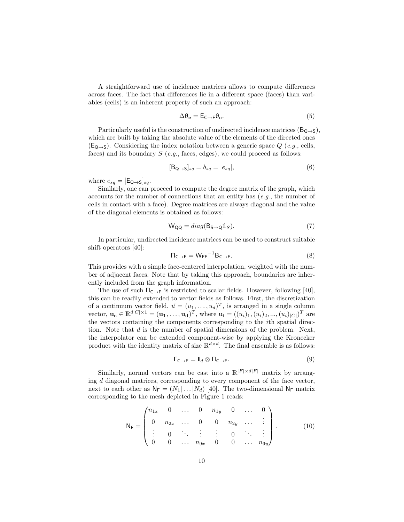A straightforward use of incidence matrices allows to compute differences across faces. The fact that differences lie in a different space (faces) than variables (cells) is an inherent property of such an approach:

<span id="page-9-1"></span>
$$
\Delta \theta_{\mathbf{c}} = \mathsf{E}_{\mathsf{C}\to\mathsf{F}} \theta_{\mathbf{c}}.\tag{5}
$$

Particularly useful is the construction of undirected incidence matrices  $(B_{Q\rightarrow S})$ , which are built by taking the absolute value of the elements of the directed ones  $(E_{Q\rightarrow S})$ . Considering the index notation between a generic space Q (e.g., cells, faces) and its boundary  $S$  (e.g., faces, edges), we could proceed as follows:

$$
[\mathsf{B}_{\mathsf{Q}\to\mathsf{S}}]_{sq} = b_{sq} = |e_{sq}|,\tag{6}
$$

where  $e_{sq} = [\mathsf{E}_{\mathsf{Q}\rightarrow\mathsf{S}}]_{sq}$ .

Similarly, one can proceed to compute the degree matrix of the graph, which accounts for the number of connections that an entity has  $(e.q.,\,$  the number of cells in contact with a face). Degree matrices are always diagonal and the value of the diagonal elements is obtained as follows:

$$
W_{QQ} = diag(B_{S \to Q} 1_S). \tag{7}
$$

In particular, undirected incidence matrices can be used to construct suitable shift operators [\[40\]](#page-32-7):

<span id="page-9-0"></span>
$$
\Pi_{\mathsf{C}\to\mathsf{F}} = \mathsf{W}_{\mathsf{FF}}^{-1} \mathsf{B}_{\mathsf{C}\to\mathsf{F}}.\tag{8}
$$

This provides with a simple face-centered interpolation, weighted with the number of adjacent faces. Note that by taking this approach, boundaries are inherently included from the graph information.

The use of such  $\Pi_{\mathsf{C}\to\mathsf{F}}$  is restricted to scalar fields. However, following [\[40\]](#page-32-7), this can be readily extended to vector fields as follows. First, the discretization of a continuum vector field,  $\vec{u} = (u_1, \dots, u_d)^T$ , is arranged in a single column vector,  $\mathbf{u_c} \in \mathbb{R}^{d|C| \times 1} = (\mathbf{u_1}, \dots, \mathbf{u_d})^T$ , where  $\mathbf{u_i} = ((u_i)_1, (u_i)_2, ..., (u_i)_{|C|})^T$  are the vectors containing the components corresponding to the ith spatial direction. Note that  $d$  is the number of spatial dimensions of the problem. Next, the interpolator can be extended component-wise by applying the Kronecker product with the identity matrix of size  $\mathbb{R}^{d \times d}$ . The final ensemble is as follows:

<span id="page-9-2"></span>
$$
\Gamma_{\mathsf{C}\to\mathsf{F}} = \mathbb{I}_d \otimes \mathsf{\Pi}_{\mathsf{C}\to\mathsf{F}}.\tag{9}
$$

Similarly, normal vectors can be cast into a  $\mathbb{R}^{|F| \times d|F|}$  matrix by arranging d diagonal matrices, corresponding to every component of the face vector, next to each other as  $N_F = (N_1 | \dots | N_d)$  [\[40\]](#page-32-7). The two-dimensional  $N_F$  matrix corresponding to the mesh depicted in Figure [1](#page-7-1) reads:

<span id="page-9-3"></span>
$$
\mathsf{N}_{\mathsf{F}} = \begin{pmatrix} n_{1x} & 0 & \dots & 0 & n_{1y} & 0 & \dots & 0 \\ 0 & n_{2x} & \dots & 0 & 0 & n_{2y} & \dots & \vdots \\ \vdots & 0 & \ddots & \vdots & \vdots & 0 & \ddots & \vdots \\ 0 & 0 & \dots & n_{9x} & 0 & 0 & \dots & n_{9y} \end{pmatrix} . \tag{10}
$$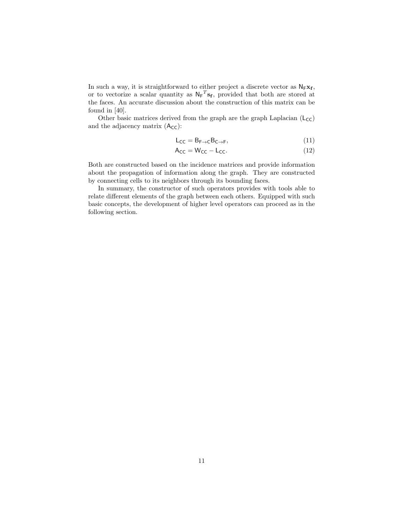In such a way, it is straightforward to either project a discrete vector as  $N_F x_f$ , or to vectorize a scalar quantity as  $N_F^T s_f$ , provided that both are stored at the faces. An accurate discussion about the construction of this matrix can be found in [\[40\]](#page-32-7).

Other basic matrices derived from the graph are the graph Laplacian  $(L_{\text{CC}})$ and the adjacency matrix  $(A_{CC})$ :

<span id="page-10-0"></span>
$$
L_{CC} = B_{F \to C} B_{C \to F}, \tag{11}
$$

$$
A_{CC} = W_{CC} - L_{CC}.
$$
 (12)

Both are constructed based on the incidence matrices and provide information about the propagation of information along the graph. They are constructed by connecting cells to its neighbors through its bounding faces.

In summary, the constructor of such operators provides with tools able to relate different elements of the graph between each others. Equipped with such basic concepts, the development of higher level operators can proceed as in the following section.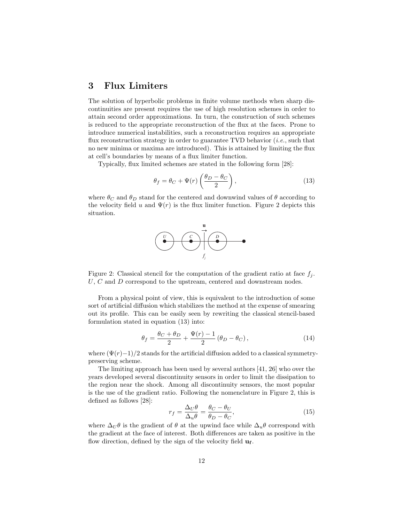# <span id="page-11-0"></span>3 Flux Limiters

The solution of hyperbolic problems in finite volume methods when sharp discontinuities are present requires the use of high resolution schemes in order to attain second order approximations. In turn, the construction of such schemes is reduced to the appropriate reconstruction of the flux at the faces. Prone to introduce numerical instabilities, such a reconstruction requires an appropriate flux reconstruction strategy in order to guarantee TVD behavior  $(i.e.,$  such that no new minima or maxima are introduced). This is attained by limiting the flux at cell's boundaries by means of a flux limiter function.

Typically, flux limited schemes are stated in the following form [\[28\]](#page-31-12):

<span id="page-11-2"></span>
$$
\theta_f = \theta_C + \Psi(r) \left( \frac{\theta_D - \theta_C}{2} \right),\tag{13}
$$

where  $\theta_C$  and  $\theta_D$  stand for the centered and downwind values of  $\theta$  according to the velocity field u and  $\Psi(r)$  is the flux limiter function. Figure [2](#page-11-1) depicts this situation.

<span id="page-11-1"></span>

Figure 2: Classical stencil for the computation of the gradient ratio at face  $f_i$ .  $U, C$  and  $D$  correspond to the upstream, centered and downstream nodes.

From a physical point of view, this is equivalent to the introduction of some sort of artificial diffusion which stabilizes the method at the expense of smearing out its profile. This can be easily seen by rewriting the classical stencil-based formulation stated in equation [\(13\)](#page-11-2) into:

<span id="page-11-3"></span>
$$
\theta_f = \frac{\theta_C + \theta_D}{2} + \frac{\Psi(r) - 1}{2} (\theta_D - \theta_C), \qquad (14)
$$

where  $(\Psi(r)-1)/2$  stands for the artificial diffusion added to a classical symmetrypreserving scheme.

The limiting approach has been used by several authors [\[41,](#page-32-8) [26\]](#page-31-10) who over the years developed several discontinuity sensors in order to limit the dissipation to the region near the shock. Among all discontinuity sensors, the most popular is the use of the gradient ratio. Following the nomenclature in Figure [2,](#page-11-1) this is defined as follows [\[28\]](#page-31-12):

<span id="page-11-4"></span>
$$
r_f = \frac{\Delta_U \theta}{\Delta_u \theta} = \frac{\theta_C - \theta_U}{\theta_D - \theta_C},\tag{15}
$$

where  $\Delta_U \theta$  is the gradient of  $\theta$  at the upwind face while  $\Delta_u \theta$  correspond with the gradient at the face of interest. Both differences are taken as positive in the flow direction, defined by the sign of the velocity field  $\mathbf{u}_{\mathbf{f}}$ .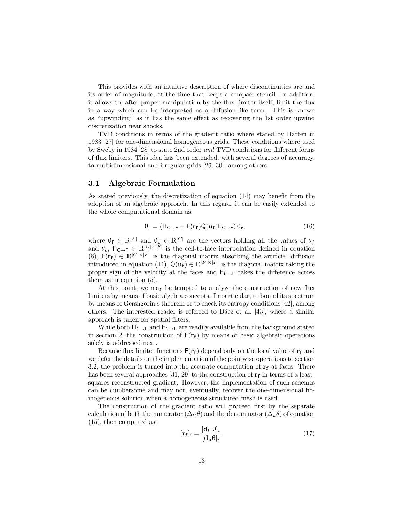This provides with an intuitive description of where discontinuities are and its order of magnitude, at the time that keeps a compact stencil. In addition, it allows to, after proper manipulation by the flux limiter itself, limit the flux in a way which can be interpreted as a diffusion-like term. This is known as "upwinding" as it has the same effect as recovering the 1st order upwind discretization near shocks.

TVD conditions in terms of the gradient ratio where stated by Harten in 1983 [\[27\]](#page-31-11) for one-dimensional homogeneous grids. These conditions where used by Sweby in 1984 [\[28\]](#page-31-12) to state 2nd order and TVD conditions for different forms of flux limiters. This idea has been extended, with several degrees of accuracy, to multidimensional and irregular grids [\[29,](#page-31-13) [30\]](#page-31-14), among others.

#### 3.1 Algebraic Formulation

As stated previously, the discretization of equation [\(14\)](#page-11-3) may benefit from the adoption of an algebraic approach. In this regard, it can be easily extended to the whole computational domain as:

$$
\theta_{\mathbf{f}} = (\Pi_{\mathsf{C}\to\mathsf{F}} + \mathsf{F}(\mathbf{r}_{\mathbf{f}})\mathsf{Q}(\mathbf{u}_{\mathbf{f}})\mathsf{E}_{\mathsf{C}\to\mathsf{F}})\,\theta_{\mathbf{c}},\tag{16}
$$

where  $\theta_f \in \mathbb{R}^{|F|}$  and  $\theta_c \in \mathbb{R}^{|C|}$  are the vectors holding all the values of  $\theta_f$ and  $\theta_c$ ,  $\Pi_{\mathsf{C}\to\mathsf{F}} \in \mathbb{R}^{|C|\times|F|}$  is the cell-to-face interpolation defined in equation [\(8\)](#page-9-0),  $F(r_f) \in \mathbb{R}^{|C| \times |F|}$  is the diagonal matrix absorbing the artificial diffusion introduced in equation [\(14\)](#page-11-3),  $Q(\mathbf{u_f}) \in \mathbb{R}^{|F| \times |F|}$  is the diagonal matrix taking the proper sign of the velocity at the faces and  $E_{C\rightarrow F}$  takes the difference across them as in equation [\(5\)](#page-9-1).

At this point, we may be tempted to analyze the construction of new flux limiters by means of basic algebra concepts. In particular, to bound its spectrum by means of Gershgorin's theorem or to check its entropy conditions [\[42\]](#page-32-9), among others. The interested reader is referred to Báez et al. [\[43\]](#page-32-10), where a similar approach is taken for spatial filters.

While both  $\Pi_{\mathsf{C}\to\mathsf{F}}$  and  $\mathsf{E}_{\mathsf{C}\to\mathsf{F}}$  are readily available from the background stated in section [2,](#page-7-0) the construction of  $F(r_f)$  by means of basic algebraic operations solely is addressed next.

Because flux limiter functions  $F(\mathbf{r_f})$  depend only on the local value of  $\mathbf{r_f}$  and we defer the details on the implementation of the pointwise operations to section [3.2,](#page-15-0) the problem is turned into the accurate computation of  $\mathbf{r_f}$  at faces. There has been several approaches  $[31, 29]$  $[31, 29]$  to the construction of  $r_f$  in terms of a leastsquares reconstructed gradient. However, the implementation of such schemes can be cumbersome and may not, eventually, recover the one-dimensional homogeneous solution when a homogeneous structured mesh is used.

The construction of the gradient ratio will proceed first by the separate calculation of both the numerator  $(\Delta_{U}\theta)$  and the denominator  $(\Delta_{u}\theta)$  of equation [\(15\)](#page-11-4), then computed as:  $\begin{bmatrix} 1 & 0 \end{bmatrix}$ 

<span id="page-12-0"></span>
$$
[\mathbf{r}_{\mathbf{f}}]_i = \frac{[\mathbf{d}_{\mathbf{U}}\boldsymbol{\theta}]_i}{[\mathbf{d}_{\mathbf{u}}\boldsymbol{\theta}]_i},\tag{17}
$$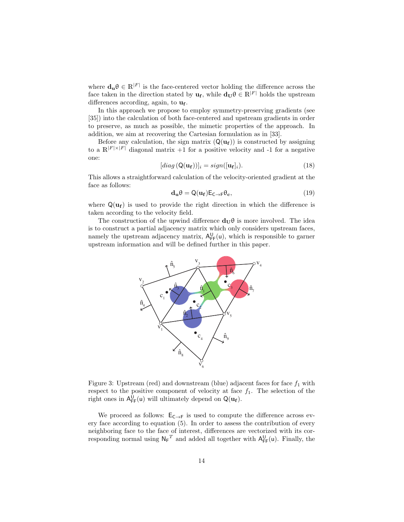where  $\mathbf{d}_{\mathbf{u}} \theta \in \mathbb{R}^{|F|}$  is the face-centered vector holding the difference across the face taken in the direction stated by  $\mathbf{u_f}$ , while  $\mathbf{d_U} \theta \in \mathbb{R}^{|F|}$  holds the upstream differences according, again, to  $\mathbf{u_f}$ .

In this approach we propose to employ symmetry-preserving gradients (see [\[35\]](#page-32-2)) into the calculation of both face-centered and upstream gradients in order to preserve, as much as possible, the mimetic properties of the approach. In addition, we aim at recovering the Cartesian formulation as in [\[33\]](#page-32-0).

Before any calculation, the sign matrix  $(Q(\mathbf{u}_f))$  is constructed by assigning to a  $\mathbb{R}^{|F| \times |F|}$  diagonal matrix  $+1$  for a positive velocity and -1 for a negative one:

<span id="page-13-1"></span>
$$
[diag\left(Q(\mathbf{u_f})\right)]_i = sign([\mathbf{u_f}]_i). \tag{18}
$$

This allows a straightforward calculation of the velocity-oriented gradient at the face as follows:

$$
\mathbf{d}_{\mathbf{u}}\theta = \mathsf{Q}(\mathbf{u}_{\mathbf{f}})\mathsf{E}_{\mathsf{C}\to\mathsf{F}}\theta_{\mathbf{c}},\tag{19}
$$

where  $Q(\mathbf{u_f})$  is used to provide the right direction in which the difference is taken according to the velocity field.

The construction of the upwind difference  $d_U\theta$  is more involved. The idea is to construct a partial adjacency matrix which only considers upstream faces, namely the upstream adjacency matrix,  $A_{\text{FF}}^{U}(u)$ , which is responsible to garner upstream information and will be defined further in this paper.

<span id="page-13-0"></span>

Figure 3: Upstream (red) and downstream (blue) adjacent faces for face  $f_1$  with respect to the positive component of velocity at face  $f_1$ . The selection of the right ones in  $A_{FF}^{U}(u)$  will ultimately depend on  $Q(u_f)$ .

We proceed as follows:  $E_{C\to F}$  is used to compute the difference across every face according to equation [\(5\)](#page-9-1). In order to assess the contribution of every neighboring face to the face of interest, differences are vectorized with its corresponding normal using  $N_F^T$  and added all together with  $A_{FF}^U(u)$ . Finally, the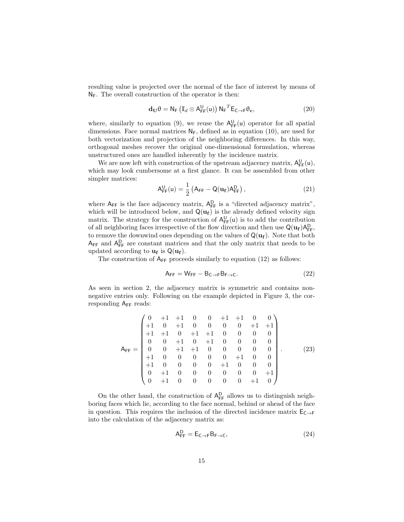resulting value is projected over the normal of the face of interest by means of  $N_F$ . The overall construction of the operator is then:

<span id="page-14-0"></span>
$$
\mathbf{d}_{\mathbf{U}}\theta = \mathsf{N}_{\mathsf{F}}\left(\mathbb{I}_{d}\otimes\mathsf{A}_{\mathsf{F}\mathsf{F}}^{\mathsf{U}}(\mathsf{u})\right)\mathsf{N}_{\mathsf{F}}^{\mathrm{T}}\mathsf{E}_{\mathsf{C}\to\mathsf{F}}\theta_{\mathbf{c}},\tag{20}
$$

where, similarly to equation [\(9\)](#page-9-2), we reuse the  $A_{\text{FF}}^{U}(u)$  operator for all spatial dimensions. Face normal matrices  $N_F$ , defined as in equation [\(10\)](#page-9-3), are used for both vectorization and projection of the neighboring differences. In this way, orthogonal meshes recover the original one-dimensional formulation, whereas unstructured ones are handled inherently by the incidence matrix.

We are now left with construction of the upstream adjacency matrix,  $A_{FF}^U(u)$ , which may look cumbersome at a first glance. It can be assembled from other simpler matrices:

$$
A_{\text{FF}}^{\text{U}}(u) = \frac{1}{2} \left( A_{\text{FF}} - Q(u_{\text{f}}) A_{\text{FF}}^{\text{D}} \right), \tag{21}
$$

where  $A_{FF}$  is the face adjacency matrix,  $A_{FF}^D$  is a "directed adjacency matrix", which will be introduced below, and  $\mathbf{Q}(\mathbf{u_f})$  is the already defined velocity sign matrix. The strategy for the construction of  $A_{\text{FF}}^{U}(u)$  is to add the contribution of all neighboring faces irrespective of the flow direction and then use  $Q(\mathbf{u_f}) A_{\mathsf{FF}}^D$ , to remove the downwind ones depending on the values of  $Q(\mathbf{u_f})$ . Note that both  $A_{FF}$  and  $A_{FF}^{D}$  are constant matrices and that the only matrix that needs to be updated according to  $\mathbf{u}_{\mathbf{f}}$  is  $\mathsf{Q}(\mathbf{u}_{\mathbf{f}})$ .

The construction of  $A_{FF}$  proceeds similarly to equation [\(12\)](#page-10-0) as follows:

$$
A_{FF} = W_{FF} - B_{C \to F} B_{F \to C}.
$$
\n(22)

As seen in section [2,](#page-7-0) the adjacency matrix is symmetric and contains nonnegative entries only. Following on the example depicted in Figure [3,](#page-13-0) the corresponding  $A_{FF}$  reads:

$$
A_{\text{FF}} = \begin{pmatrix} 0 & +1 & +1 & 0 & 0 & +1 & +1 & 0 & 0 \\ +1 & 0 & +1 & 0 & 0 & 0 & 0 & +1 & +1 \\ +1 & +1 & 0 & +1 & +1 & 0 & 0 & 0 & 0 \\ 0 & 0 & +1 & 0 & +1 & 0 & 0 & 0 & 0 \\ 0 & 0 & +1 & +1 & 0 & 0 & 0 & 0 & 0 \\ +1 & 0 & 0 & 0 & 0 & 0 & +1 & 0 & 0 \\ +1 & 0 & 0 & 0 & 0 & +1 & 0 & 0 & 0 \\ 0 & +1 & 0 & 0 & 0 & 0 & 0 & 0 & +1 \\ 0 & +1 & 0 & 0 & 0 & 0 & 0 & +1 & 0 \end{pmatrix}.
$$
 (23)

On the other hand, the construction of  $A_{\text{FF}}^D$  allows us to distinguish neighboring faces which lie, according to the face normal, behind or ahead of the face in question. This requires the inclusion of the directed incidence matrix  $E_{C\rightarrow F}$ into the calculation of the adjacency matrix as:

$$
A_{FF}^D = E_{C \to F} B_{F \to C}, \qquad (24)
$$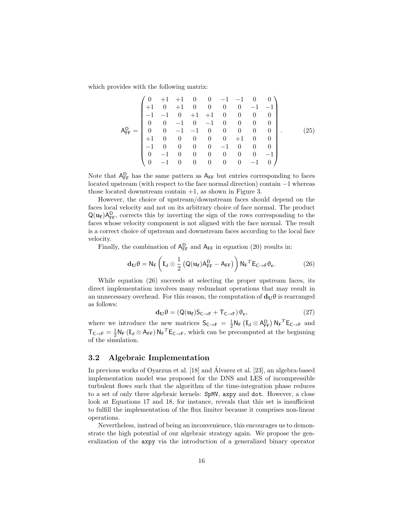which provides with the following matrix:

$$
A_{FF}^{D} = \begin{pmatrix} 0 & +1 & +1 & 0 & 0 & -1 & -1 & 0 & 0 \\ +1 & 0 & +1 & 0 & 0 & 0 & 0 & -1 & -1 \\ -1 & -1 & 0 & +1 & +1 & 0 & 0 & 0 & 0 \\ 0 & 0 & -1 & 0 & -1 & 0 & 0 & 0 & 0 \\ 0 & 0 & -1 & -1 & 0 & 0 & 0 & 0 & 0 \\ +1 & 0 & 0 & 0 & 0 & 0 & +1 & 0 & 0 \\ -1 & 0 & 0 & 0 & 0 & -1 & 0 & 0 & 0 \\ 0 & -1 & 0 & 0 & 0 & 0 & 0 & -1 & 0 \end{pmatrix}.
$$
 (25)

Note that  $A_{\text{FF}}^D$  has the same pattern as  $A_{\text{FF}}$  but entries corresponding to faces located upstream (with respect to the face normal direction) contain −1 whereas those located downstream contain +1, as shown in Figure [3.](#page-13-0)

However, the choice of upstream/downstream faces should depend on the faces local velocity and not on its arbitrary choice of face normal. The product  $Q(\mathbf{u_f})A_{\text{FF}}^D$ , corrects this by inverting the sign of the rows corresponding to the faces whose velocity component is not aligned with the face normal. The result is a correct choice of upstream and downstream faces according to the local face velocity.

Finally, the combination of  $A_{\text{FF}}^D$  and  $A_{\text{FF}}$  in equation [\(20\)](#page-14-0) results in:

<span id="page-15-1"></span>
$$
\mathbf{d}_{\mathbf{U}}\theta = \mathsf{N}_{\mathsf{F}}\left(\mathbb{I}_{d} \otimes \frac{1}{2} \left(\mathsf{Q}(\mathbf{u}_{\mathbf{f}}) \mathsf{A}_{\mathsf{F}\mathsf{F}}^{\mathsf{D}} - \mathsf{A}_{\mathsf{F}\mathsf{F}}\right)\right) \mathsf{N}_{\mathsf{F}}^{\ \ T} \mathsf{E}_{\mathsf{C}\to\mathsf{F}}\theta_{\mathbf{c}}.\tag{26}
$$

While equation [\(26\)](#page-15-1) succeeds at selecting the proper upstream faces, its direct implementation involves many redundant operations that may result in an unnecessary overhead. For this reason, the computation of  $d_U\theta$  is rearranged as follows:

<span id="page-15-2"></span>
$$
\mathbf{d}_{\mathbf{U}}\theta = (Q(\mathbf{u}_{\mathbf{f}})S_{\mathsf{C}\to\mathsf{F}} + \mathsf{T}_{\mathsf{C}\to\mathsf{F}})\,\theta_{\mathbf{c}},\tag{27}
$$

where we introduce the new matrices  $S_{C\to F} = \frac{1}{2} N_F \left( \mathbb{I}_d \otimes A_{FF}^D \right) N_F^T E_{C\to F}$  and  $\mathsf{T}_{\mathsf{C}\to\mathsf{F}} = \frac{1}{2}\mathsf{N}_{\mathsf{F}}(\mathbb{I}_d \otimes \mathsf{A}_{\mathsf{FF}})\mathsf{N}_{\mathsf{F}}^T\mathsf{E}_{\mathsf{C}\to\mathsf{F}}$ , which can be precomputed at the beginning of the simulation.

#### <span id="page-15-0"></span>3.2 Algebraic Implementation

In previous works of Oyarzun et al. [\[18\]](#page-31-2) and Álvarez et al. [\[23\]](#page-31-7), an algebra-based implementation model was proposed for the DNS and LES of incompressible turbulent flows such that the algorithm of the time-integration phase reduces to a set of only three algebraic kernels: SpMV, axpy and dot. However, a close look at Equations [17](#page-12-0) and [18,](#page-13-1) for instance, reveals that this set is insufficient to fulfill the implementation of the flux limiter because it comprises non-linear operations.

Nevertheless, instead of being an inconvenience, this encourages us to demonstrate the high potential of our algebraic strategy again. We propose the generalization of the axpy via the introduction of a generalized binary operator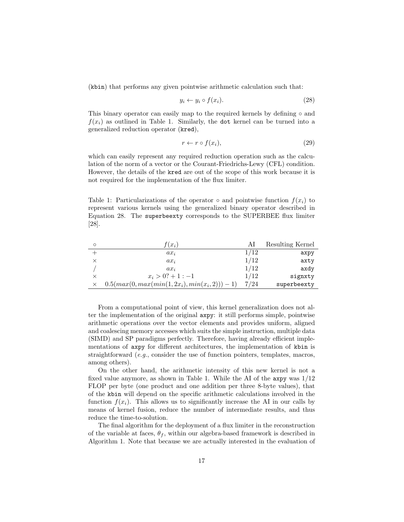(kbin) that performs any given pointwise arithmetic calculation such that:

<span id="page-16-1"></span>
$$
y_i \leftarrow y_i \circ f(x_i). \tag{28}
$$

This binary operator can easily map to the required kernels by defining  $\circ$  and  $f(x_i)$  as outlined in Table [1.](#page-16-0) Similarly, the dot kernel can be turned into a generalized reduction operator (kred),

$$
r \leftarrow r \circ f(x_i),\tag{29}
$$

which can easily represent any required reduction operation such as the calculation of the norm of a vector or the Courant-Friedrichs-Lewy (CFL) condition. However, the details of the kred are out of the scope of this work because it is not required for the implementation of the flux limiter.

<span id="page-16-0"></span>Table 1: Particularizations of the operator  $\circ$  and pointwise function  $f(x_i)$  to represent various kernels using the generalized binary operator described in Equation [28.](#page-16-1) The superbeexty corresponds to the SUPERBEE flux limiter [\[28\]](#page-31-12).

| $f(x_i)$                                          | Al   | Resulting Kernel |
|---------------------------------------------------|------|------------------|
| $ax_i$                                            | 1/12 | axpy             |
| $ax_i$                                            | 1/12 | axty             |
| $ax_i$                                            | 1/12 | axdy             |
| $x_i > 0$ ? + 1 : -1                              | 1/12 | signxty          |
| $0.5(max(0, max(min(1, 2x_i), min(x_i, 2))) - 1)$ | 7/24 | superbeexty      |

From a computational point of view, this kernel generalization does not alter the implementation of the original axpy: it still performs simple, pointwise arithmetic operations over the vector elements and provides uniform, aligned and coalescing memory accesses which suits the simple instruction, multiple data (SIMD) and SP paradigms perfectly. Therefore, having already efficient implementations of axpy for different architectures, the implementation of kbin is straightforward (e.g., consider the use of function pointers, templates, macros, among others).

On the other hand, the arithmetic intensity of this new kernel is not a fixed value anymore, as shown in Table [1.](#page-16-0) While the AI of the axpy was 1/12 FLOP per byte (one product and one addition per three 8-byte values), that of the kbin will depend on the specific arithmetic calculations involved in the function  $f(x_i)$ . This allows us to significantly increase the AI in our calls by means of kernel fusion, reduce the number of intermediate results, and thus reduce the time-to-solution.

The final algorithm for the deployment of a flux limiter in the reconstruction of the variable at faces,  $\theta_f$ , within our algebra-based framework is described in Algorithm [1.](#page-17-0) Note that because we are actually interested in the evaluation of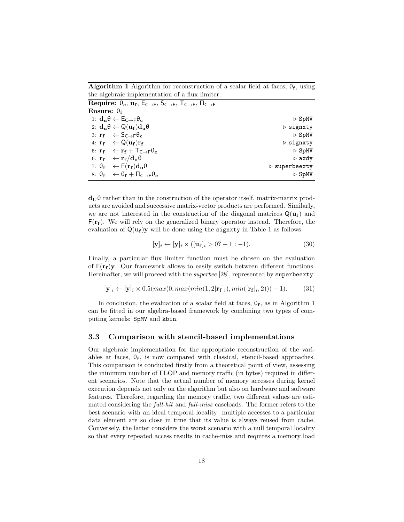Algorithm 1 Algorithm for reconstruction of a scalar field at faces,  $\theta_f$ , using the algebraic implementation of a flux limiter.

<span id="page-17-0"></span>

| Require: $\theta_c$ , $u_f$ , $E_{C\rightarrow F}$ , $S_{C\rightarrow F}$ , $T_{C\rightarrow F}$ , $\Pi_{C\rightarrow F}$ |                              |
|---------------------------------------------------------------------------------------------------------------------------|------------------------------|
| Ensure: $\theta_{\mathbf{f}}$                                                                                             |                              |
| 1: $d_u \theta \leftarrow E_{C \rightarrow F} \theta_c$                                                                   | $\triangleright$ SpMV        |
| 2: $\mathbf{d}_{\mathbf{u}}\theta \leftarrow Q(\mathbf{u}_{\mathbf{f}})\mathbf{d}_{\mathbf{u}}\theta$                     | $\triangleright$ signxty     |
| 3: $\mathbf{r_f} \quad \leftarrow \mathsf{S}_{\mathsf{C}\rightarrow\mathsf{F}}\theta_{\mathbf{c}}$                        | $\triangleright$ SpMV        |
| 4: $\mathbf{r_f} \leftarrow \mathsf{Q}(\mathbf{u_f}) \mathbf{r_f}$                                                        | $\triangleright$ signxty     |
| 5: $\mathbf{r_f} \leftarrow \mathbf{r_f} + \mathbf{T_{C \rightarrow F}} \theta_c$                                         | $\triangleright$ SpMV        |
| 6: $\mathbf{r_f} \quad \leftarrow \mathbf{r_f/d_u \theta}$                                                                | $\triangleright$ axdy        |
| 7: $\theta_f$ $\leftarrow$ $F(r_f)d_u\theta$                                                                              | $\triangleright$ superbeexty |
| 8: $\theta_f \leftarrow \theta_f + \Pi_{C \rightarrow F} \theta_c$                                                        | $\triangleright$ SpMV        |

 $d_{\rm U}\theta$  rather than in the construction of the operator itself, matrix-matrix products are avoided and successive matrix-vector products are performed. Similarly, we are not interested in the construction of the diagonal matrices  $Q(\mathbf{u_f})$  and  $F(r_f)$ . We will rely on the generalized binary operator instead. Therefore, the evaluation of  $Q(\mathbf{u_f})\mathbf{y}$  will be done using the **signxty** in Table [1](#page-16-0) as follows:

$$
[\mathbf{y}]_i \leftarrow [\mathbf{y}]_i \times ([\mathbf{u_f}]_i > 0? + 1 : -1). \tag{30}
$$

Finally, a particular flux limiter function must be chosen on the evaluation of  $F(r_f)y$ . Our framework allows to easily switch between different functions. Hereinafter, we will proceed with the *superbee* [\[28\]](#page-31-12), represented by superbeexty:

$$
[\mathbf{y}]_i \leftarrow [\mathbf{y}]_i \times 0.5(max(0, max(min(1, 2[\mathbf{r_f}]_i), min([\mathbf{r_f}]_i, 2))) - 1). \tag{31}
$$

In conclusion, the evaluation of a scalar field at faces,  $\theta_f$ , as in Algorithm [1](#page-17-0) can be fitted in our algebra-based framework by combining two types of computing kernels: SpMV and kbin.

#### <span id="page-17-1"></span>3.3 Comparison with stencil-based implementations

Our algebraic implementation for the appropriate reconstruction of the variables at faces,  $\theta_f$ , is now compared with classical, stencil-based approaches. This comparison is conducted firstly from a theoretical point of view, assessing the minimum number of FLOP and memory traffic (in bytes) required in different scenarios. Note that the actual number of memory accesses during kernel execution depends not only on the algorithm but also on hardware and software features. Therefore, regarding the memory traffic, two different values are estimated considering the full-hit and full-miss caseloads. The former refers to the best scenario with an ideal temporal locality: multiple accesses to a particular data element are so close in time that its value is always reused from cache. Conversely, the latter considers the worst scenario with a null temporal locality so that every repeated access results in cache-miss and requires a memory load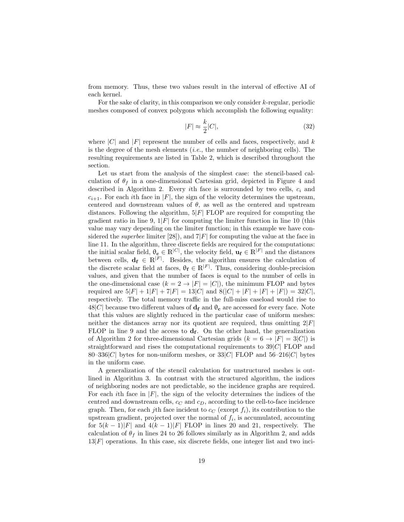from memory. Thus, these two values result in the interval of effective AI of each kernel.

For the sake of clarity, in this comparison we only consider  $k$ -regular, periodic meshes composed of convex polygons which accomplish the following equality:

$$
|F| \approx \frac{k}{2}|C|,\tag{32}
$$

where  $|C|$  and  $|F|$  represent the number of cells and faces, respectively, and k is the degree of the mesh elements  $(i.e.,$  the number of neighboring cells). The resulting requirements are listed in Table [2,](#page-21-0) which is described throughout the section.

Let us start from the analysis of the simplest case: the stencil-based calculation of  $\theta_f$  in a one-dimensional Cartesian grid, depicted in Figure [4](#page-19-0) and described in Algorithm [2.](#page-19-1) Every ith face is surrounded by two cells,  $c_i$  and  $c_{i+1}$ . For each ith face in |F|, the sign of the velocity determines the upstream, centered and downstream values of  $\theta$ , as well as the centered and upstream distances. Following the algorithm,  $5|F|$  FLOP are required for computing the gradient ratio in line [9,](#page-19-0)  $1|F|$  for computing the limiter function in line [10](#page-19-0) (this value may vary depending on the limiter function; in this example we have considered the *superbee* limiter [\[28\]](#page-31-12)), and  $7|F|$  for computing the value at the face in line [11.](#page-19-0) In the algorithm, three discrete fields are required for the computations: the initial scalar field,  $\theta_c \in \mathbb{R}^{|C|}$ , the velocity field,  $\mathbf{u_f} \in \mathbb{R}^{|F|}$  and the distances between cells,  $\mathbf{d_f} \in \mathbb{R}^{|F|}$ . Besides, the algorithm ensures the calculation of the discrete scalar field at faces,  $\theta_f \in \mathbb{R}^{|F|}$ . Thus, considering double-precision values, and given that the number of faces is equal to the number of cells in the one-dimensional case  $(k = 2 \rightarrow |F| = |C|)$ , the minimum FLOP and bytes required are  $5|F| + 1|F| + 7|F| = 13|C|$  and  $8(|C| + |F| + |F| + |F|) = 32|C|$ , respectively. The total memory traffic in the full-miss caseload would rise to 48|C| because two different values of  $\mathbf{d_f}$  and  $\mathbf{\theta_c}$  are accessed for every face. Note that this values are slightly reduced in the particular case of uniform meshes: neither the distances array nor its quotient are required, thus omitting  $2|F|$ FLOP in line [9](#page-19-0) and the access to  $\mathbf{d}_{\mathbf{f}}$ . On the other hand, the generalization of Algorithm [2](#page-19-1) for three-dimensional Cartesian grids  $(k = 6 \rightarrow |F| = 3|C|)$  is straightforward and rises the computational requirements to  $39|C|$  FLOP and  $80-336|C|$  bytes for non-uniform meshes, or  $33|C|$  FLOP and  $56-216|C|$  bytes in the uniform case.

A generalization of the stencil calculation for unstructured meshes is outlined in Algorithm [3.](#page-20-0) In contrast with the structured algorithm, the indices of neighboring nodes are not predictable, so the incidence graphs are required. For each ith face in  $|F|$ , the sign of the velocity determines the indices of the centred and downstream cells,  $c_C$  and  $c_D$ , according to the cell-to-face incidence graph. Then, for each jth face incident to  $c_C$  (except  $f_i$ ), its contribution to the upstream gradient, projected over the normal of  $f_i$ , is accumulated, accounting for  $5(k-1)|F|$  and  $4(k-1)|F|$  FLOP in lines [20](#page-19-1) and [21,](#page-19-1) respectively. The calculation of  $\theta_f$  in lines [24](#page-19-1) to [26](#page-19-1) follows similarly as in Algorithm [2,](#page-19-1) and adds  $13|F|$  operations. In this case, six discrete fields, one integer list and two inci-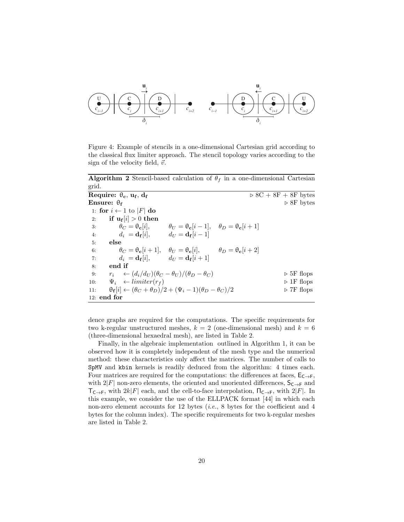

<span id="page-19-0"></span>Figure 4: Example of stencils in a one-dimensional Cartesian grid according to the classical flux limiter approach. The stencil topology varies according to the sign of the velocity field,  $\vec{v}$ .

Algorithm 2 Stencil-based calculation of  $\theta_f$  in a one-dimensional Cartesian grid.

| Require: $\theta_c$ , $u_f$ , $d_f$        |                                                                                           | $\triangleright$ 8C + 8F + 8F bytes |  |
|--------------------------------------------|-------------------------------------------------------------------------------------------|-------------------------------------|--|
| Ensure: $\theta_f$                         |                                                                                           | $\triangleright$ 8F bytes           |  |
| 1: for $i \leftarrow 1$ to $ F $ do        |                                                                                           |                                     |  |
| if $u_f[i] > 0$ then<br>2:                 |                                                                                           |                                     |  |
| $\theta_C = \theta_{\mathbf{c}}[i],$<br>3: | $\theta_U = \theta_{\mathbf{c}}[i-1], \quad \theta_D = \theta_{\mathbf{c}}[i+1]$          |                                     |  |
| 4:                                         | $d_i = \mathbf{d_f}[i], \qquad d_U = \mathbf{d_f}[i-1]$                                   |                                     |  |
| else<br>5:                                 |                                                                                           |                                     |  |
| 6:                                         | $\theta_C = \theta_c[i+1], \quad \theta_U = \theta_c[i], \qquad \theta_D = \theta_c[i+2]$ |                                     |  |
| 7:                                         | $d_i = \mathbf{d_f}[i], \qquad d_U = \mathbf{d_f}[i+1]$                                   |                                     |  |
| end if<br>8:                               |                                                                                           |                                     |  |
| 9:                                         | $r_i \leftarrow (d_i/d_U)(\theta_C - \theta_U)/(\theta_D - \theta_C)$                     | $\triangleright$ 5F flops           |  |
| $\Psi_i \leftarrow limiter(r_f)$<br>10:    |                                                                                           | $\triangleright$ 1F flops           |  |
| 11:                                        | $\theta_f[i] \leftarrow (\theta_C + \theta_D)/2 + (\Psi_i - 1)(\theta_D - \theta_C)/2$    | $\triangleright$ 7F flops           |  |
| $12:$ end for                              |                                                                                           |                                     |  |

<span id="page-19-1"></span>dence graphs are required for the computations. The specific requirements for two k-regular unstructured meshes,  $k = 2$  (one-dimensional mesh) and  $k = 6$ (three-dimensional hexaedral mesh), are listed in Table [2.](#page-21-0)

Finally, in the algebraic implementation outlined in Algorithm [1,](#page-17-0) it can be observed how it is completely independent of the mesh type and the numerical method: these characteristics only affect the matrices. The number of calls to SpMV and kbin kernels is readily deduced from the algorithm: 4 times each. Four matrices are required for the computations: the differences at faces,  $E_{C\rightarrow F}$ , with  $2|F|$  non-zero elements, the oriented and unoriented differences,  $S_{C\rightarrow F}$  and  $T_{C\to F}$ , with  $2k|F|$  each, and the cell-to-face interpolation,  $\Pi_{C\to F}$ , with  $2|F|$ . In this example, we consider the use of the ELLPACK format [\[44\]](#page-32-11) in which each non-zero element accounts for 12 bytes (*i.e.*, 8 bytes for the coefficient and 4 bytes for the column index). The specific requirements for two k-regular meshes are listed in Table [2.](#page-21-0)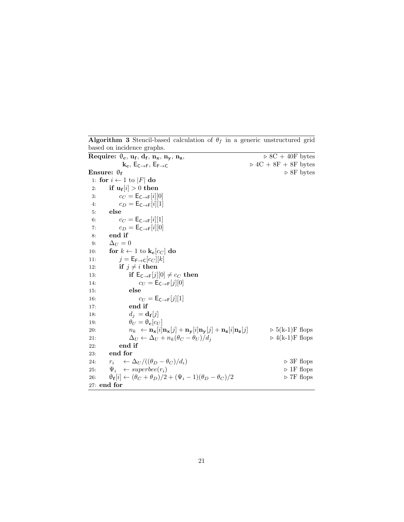<span id="page-20-0"></span>Require:  $\theta_{\rm c}, u_{\rm f}, d_{\rm f}$  $\sqrt{6 \times 8C + 40F}$  bytes  $k_c$ ,  $E_{C\rightarrow F}$ ,  $E_{F\rightarrow C}$   $\rightarrow$  4C + 8F + 8F bytes Ensure:  $\theta_f$   $\triangleright$  8F bytes 1: for  $i \leftarrow 1$  to |*F*| do  $\quad \quad \text{if} \; \mathbf{u_f}[i] > 0 \; \text{then}$ 3:  $c_C = \mathsf{E}_{\mathsf{C}\to\mathsf{F}}[i][0]$ 4:  $c_D = \mathsf{E}_{\mathsf{C}\to\mathsf{F}}[i][1]$ 5: else 6:  $c_C = \mathsf{E}_{\mathsf{C}\to\mathsf{F}}[i][1]$ 7:  $c_D = \mathsf{E}_{\mathsf{C}\to\mathsf{F}}[i][0]$ 8: end if 9:  $\Delta_U = 0$ 10: for  $k \leftarrow 1$  to  $\mathbf{k_c}[c_C]$  do 11:  $j = \mathsf{E}_{\mathsf{F}\to\mathsf{C}}[c_C][k]$ 12: if  $j \neq i$  then 13: **if**  $E_{C\to F}[j][0] \neq c_C$  then 14:  $c_U = \mathsf{E}_{\mathsf{C}\to\mathsf{F}}[j][0]$ 15: else 16:  $c_U = \mathsf{E}_{\mathsf{C}\to\mathsf{F}}[j][1]$ 17: end if 18:  $d_j = \mathbf{d_f}[j]$ 19:  $\theta_U = \theta_{\mathbf{c}}[c_U]$ 20:  $n_k \leftarrow \mathbf{n_x}[i] \mathbf{n_x}[j] + \mathbf{n_y}[i] \mathbf{n_y}[j] + \mathbf{n_z}[i] \mathbf{n_z}[j] \quad \Rightarrow 5(k-1)F$  flops 21:  $\Delta_U \leftarrow \Delta_U + n_k(\theta_C - \theta_U)/d_j$   $\qquad \qquad \triangleright$  4(k-1)F flops 22: end if 23: end for 24:  $r_i \leftarrow \Delta_U/((\theta_D - \theta_C)/d_i)$  .  $\triangleright$  3F flops<br>
25:  $\Psi_i \leftarrow superbee(r_i)$  .  $\triangleright$  1F flops 25:  $\Psi_i \leftarrow superbee(r_i)$ 26:  $\theta_f[i] \leftarrow (\theta_C + \theta_D)/2 + (\Psi_i - 1)(\theta_D - \theta_C)/2$   $\triangleright$  7F flops 27: end for

Algorithm 3 Stencil-based calculation of  $\theta_f$  in a generic unstructured grid based on incidence graphs.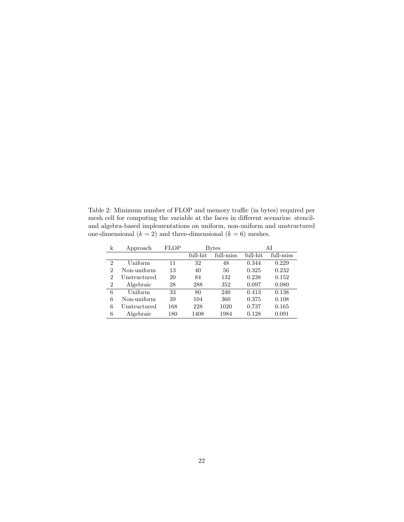<span id="page-21-0"></span>Table 2: Minimum number of FLOP and memory traffic (in bytes) required per mesh cell for computing the variable at the faces in different scenarios: stenciland algebra-based implementations on uniform, non-uniform and unstructured one-dimensional  $(k = 2)$  and three-dimensional  $(k = 6)$  meshes.

| k              | Approach     | <b>FLOP</b> | Bytes    |           | ΑI       |           |
|----------------|--------------|-------------|----------|-----------|----------|-----------|
|                |              |             | full-hit | full-miss | full-hit | full-miss |
| $\overline{2}$ | Uniform      | 11          | 32       | 48        | 0.344    | 0.229     |
| $\overline{2}$ | Non-uniform  | 13          | 40       | 56        | 0.325    | 0.232     |
| $\overline{2}$ | Unstructured | 20          | 84       | 132       | 0.238    | 0.152     |
| $\overline{2}$ | Algebraic    | 28          | 288      | 352       | 0.097    | 0.080     |
| 6              | Uniform      | 33          | 80       | 240       | 0.413    | 0.138     |
| 6              | Non-uniform  | 39          | 104      | 360       | 0.375    | 0.108     |
| 6              | Unstructured | 168         | 228      | 1020      | 0.737    | 0.165     |
| 6              | Algebraic    | 180         | 1408     | 1984      | 0.128    | 0.091     |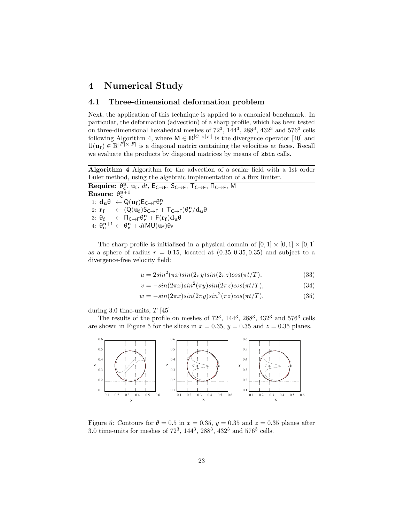# <span id="page-22-0"></span>4 Numerical Study

### <span id="page-22-3"></span>4.1 Three-dimensional deformation problem

Next, the application of this technique is applied to a canonical benchmark. In particular, the deformation (advection) of a sharp profile, which has been tested on three-dimensional hexahedral meshes of  $72^3$ ,  $144^3$ ,  $288^3$ ,  $432^3$  and  $576^3$  cells following Algorithm [4,](#page-22-1) where  $M \in \mathbb{R}^{|C| \times |F|}$  is the divergence operator [\[40\]](#page-32-7) and  $\mathsf{U}(\mathbf{u_f}) \in \mathbb{R}^{|F| \times |F|}$  is a diagonal matrix containing the velocities at faces. Recall we evaluate the products by diagonal matrices by means of kbin calls.

Algorithm 4 Algorithm for the advection of a scalar field with a 1st order Euler method, using the algebraic implementation of a flux limiter.

<span id="page-22-1"></span>Require:  $\theta_{\rm c}^{\rm n}$ ,  $\alpha_{\rm f}$ ,  $dt$ ,  $E_{\rm C\rightarrow F}$ ,  $S_{\rm C\rightarrow F}$ ,  $T_{\rm C\rightarrow F}$ ,  $\Pi_{\rm C\rightarrow F}$ , M Ensure:  $\theta_{\rm c}^{\rm n+1}$ 1:  $\mathbf{d}_{\mathbf{u}} \theta \leftarrow \mathsf{Q}(\mathbf{u}_{\mathbf{f}}) \mathsf{E}_{\mathsf{C} \to \mathsf{F}} \theta_{\mathbf{c}}^{\mathbf{n}}$ 2:  $\mathbf{r_f} \quad \leftarrow (Q(\mathbf{u_f})S_{\mathsf{C}\rightarrow\mathsf{F}} + T_{\mathsf{C}\rightarrow\mathsf{F}})\theta_{\mathbf{c}}^{\mathbf{n}}/d_{\mathbf{u}}\theta$ 3:  $\theta_f \leftarrow \Pi_{C \to F} \theta_c^n + F(r_f) d_u \theta$ 4:  $\theta_{\rm c}^{\rm n+1} \leftarrow \theta_{\rm c}^{\rm n} + dt$ MU $(\bf{u_f})\theta_{\rm f}$ 

The sharp profile is initialized in a physical domain of  $[0,1] \times [0,1] \times [0,1]$ as a sphere of radius  $r = 0.15$ , located at  $(0.35, 0.35, 0.35)$  and subject to a divergence-free velocity field:

$$
u = 2\sin^2(\pi x)\sin(2\pi y)\sin(2\pi z)\cos(\pi t/T),
$$
\n(33)

$$
v = -\sin(2\pi x)\sin^2(\pi y)\sin(2\pi z)\cos(\pi t/T),\tag{34}
$$

$$
w = -\sin(2\pi x)\sin(2\pi y)\sin^2(\pi z)\cos(\pi t/T),\tag{35}
$$

during 3.0 time-units,  $T$  [\[45\]](#page-32-12).

The results of the profile on meshes of  $72^3$ ,  $144^3$ ,  $288^3$ ,  $432^3$  and  $576^3$  cells are shown in Figure [5](#page-22-2) for the slices in  $x = 0.35$ ,  $y = 0.35$  and  $z = 0.35$  planes.



<span id="page-22-2"></span>Figure 5: Contours for  $\theta = 0.5$  in  $x = 0.35$ ,  $y = 0.35$  and  $z = 0.35$  planes after 3.0 time-units for meshes of  $72^3$ ,  $144^3$ ,  $288^3$ ,  $432^3$  and  $576^3$  cells.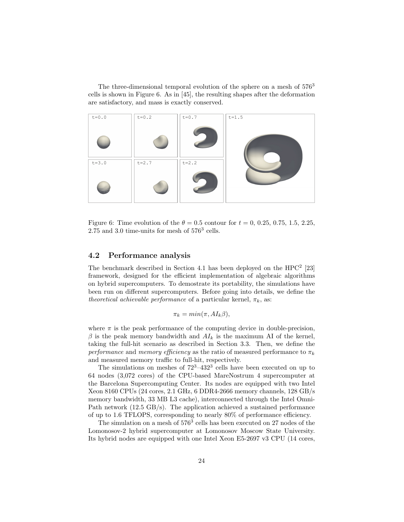The three-dimensional temporal evolution of the sphere on a mesh of  $576<sup>3</sup>$ cells is shown in Figure [6.](#page-23-0) As in [\[45\]](#page-32-12), the resulting shapes after the deformation are satisfactory, and mass is exactly conserved.



Figure 6: Time evolution of the  $\theta = 0.5$  contour for  $t = 0, 0.25, 0.75, 1.5, 2.25$ , 2.75 and 3.0 time-units for mesh of  $576^3$  cells.

#### <span id="page-23-1"></span>4.2 Performance analysis

The benchmark described in Section [4.1](#page-22-3) has been deployed on the HPC<sup>2</sup> [\[23\]](#page-31-7) framework, designed for the efficient implementation of algebraic algorithms on hybrid supercomputers. To demostrate its portability, the simulations have been run on different supercomputers. Before going into details, we define the theoretical achievable performance of a particular kernel,  $\pi_k$ , as:

<span id="page-23-0"></span>
$$
\pi_k = \min(\pi, AI_k \beta),
$$

where  $\pi$  is the peak performance of the computing device in double-precision,  $\beta$  is the peak memory bandwidth and  $AI_k$  is the maximum AI of the kernel, taking the full-hit scenario as described in Section [3.3.](#page-17-1) Then, we define the performance and memory efficiency as the ratio of measured performance to  $\pi_k$ and measured memory traffic to full-hit, respectively.

The simulations on meshes of  $72^3 - 432^3$  cells have been executed on up to 64 nodes (3,072 cores) of the CPU-based MareNostrum 4 supercomputer at the Barcelona Supercomputing Center. Its nodes are equipped with two Intel Xeon 8160 CPUs (24 cores, 2.1 GHz, 6 DDR4-2666 memory channels, 128 GB/s memory bandwidth, 33 MB L3 cache), interconnected through the Intel Omni-Path network (12.5 GB/s). The application achieved a sustained performance of up to 1.6 TFLOPS, corresponding to nearly 80% of performance efficiency.

The simulation on a mesh of  $576<sup>3</sup>$  cells has been executed on 27 nodes of the Lomonosov-2 hybrid supercomputer at Lomonosov Moscow State University. Its hybrid nodes are equipped with one Intel Xeon E5-2697 v3 CPU (14 cores,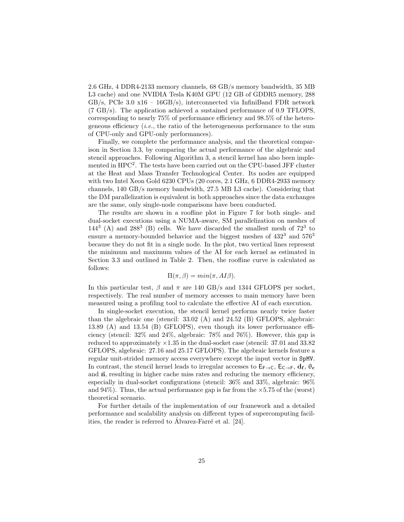2.6 GHz, 4 DDR4-2133 memory channels, 68 GB/s memory bandwidth, 35 MB L3 cache) and one NVIDIA Tesla K40M GPU (12 GB of GDDR5 memory, 288 GB/s, PCIe 3.0  $x16 - 16GB/s$ , interconnected via InfiniBand FDR network (7 GB/s). The application achieved a sustained performance of 0.9 TFLOPS, corresponding to nearly 75% of performance efficiency and 98.5% of the heterogeneous efficiency (*i.e.*, the ratio of the heterogeneous performance to the sum of CPU-only and GPU-only performances).

Finally, we complete the performance analysis, and the theoretical comparison in Section [3.3,](#page-17-1) by comparing the actual performance of the algebraic and stencil approaches. Following Algorithm [3,](#page-20-0) a stencil kernel has also been implemented in HPC<sup>2</sup> . The tests have been carried out on the CPU-based JFF cluster at the Heat and Mass Transfer Technological Center. Its nodes are equipped with two Intel Xeon Gold 6230 CPUs (20 cores, 2.1 GHz, 6 DDR4-2933 memory channels, 140 GB/s memory bandwidth, 27.5 MB L3 cache). Considering that the DM parallelization is equivalent in both approaches since the data exchanges are the same, only single-node comparisons have been conducted.

The results are shown in a roofline plot in Figure [7](#page-25-0) for both single- and dual-socket executions using a NUMA-aware, SM parallelization on meshes of  $144<sup>3</sup>$  (A) and  $288<sup>3</sup>$  (B) cells. We have discarded the smallest mesh of  $72<sup>3</sup>$  to ensure a memory-bounded behavior and the biggest meshes of  $432^3$  and  $576^3$ because they do not fit in a single node. In the plot, two vertical lines represent the minimum and maximum values of the AI for each kernel as estimated in Section [3.3](#page-17-1) and outlined in Table [2.](#page-21-0) Then, the roofline curve is calculated as follows:

$$
\Pi(\pi,\beta) = \min(\pi, A I \beta).
$$

In this particular test,  $\beta$  and  $\pi$  are 140 GB/s and 1344 GFLOPS per socket, respectively. The real number of memory accesses to main memory have been measured using a profiling tool to calculate the effective AI of each execution.

In single-socket execution, the stencil kernel performs nearly twice faster than the algebraic one (stencil: 33.02 (A) and 24.52 (B) GFLOPS, algebraic: 13.89 (A) and 13.54 (B) GFLOPS), even though its lower performance efficiency (stencil: 32% and 24%, algebraic: 78% and 76%). However, this gap is reduced to approximately ×1.35 in the dual-socket case (stencil: 37.01 and 33.82 GFLOPS, algebraic: 27.16 and 25.17 GFLOPS). The algebraic kernels feature a regular unit-strided memory access everywhere except the input vector in SpMV. In contrast, the stencil kernel leads to irregular accesses to  $E_{F\to C}$ ,  $E_{C\to F}$ ,  $d_f$ ,  $\theta_c$ and  $\vec{n}$ , resulting in higher cache miss rates and reducing the memory efficiency, especially in dual-socket configurations (stencil: 36% and 33%, algebraic: 96% and  $94\%$ ). Thus, the actual performance gap is far from the  $\times 5.75$  of the (worst) theoretical scenario.

For further details of the implementation of our framework and a detailed performance and scalability analysis on different types of supercomputing facilities, the reader is referred to Álvarez-Farré et al.  $[24]$ .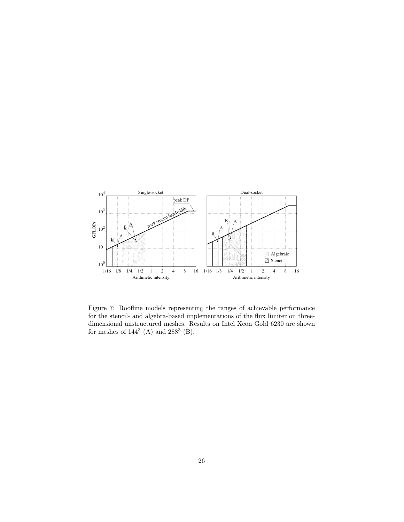

<span id="page-25-0"></span>Figure 7: Roofline models representing the ranges of achievable performance for the stencil- and algebra-based implementations of the flux limiter on threedimensional unstructured meshes. Results on Intel Xeon Gold 6230 are shown for meshes of  $144^3$  (A) and  $288^3$  (B).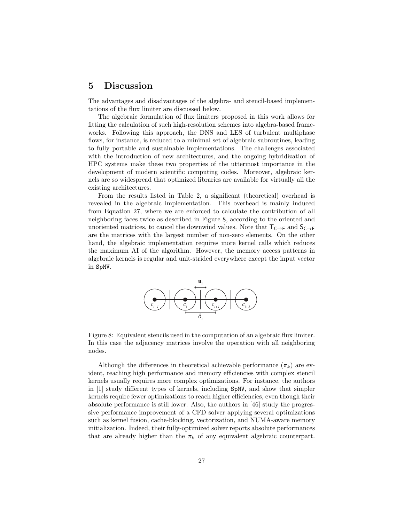### <span id="page-26-0"></span>5 Discussion

The advantages and disadvantages of the algebra- and stencil-based implementations of the flux limiter are discussed below.

The algebraic formulation of flux limiters proposed in this work allows for fitting the calculation of such high-resolution schemes into algebra-based frameworks. Following this approach, the DNS and LES of turbulent multiphase flows, for instance, is reduced to a minimal set of algebraic subroutines, leading to fully portable and sustainable implementations. The challenges associated with the introduction of new architectures, and the ongoing hybridization of HPC systems make these two properties of the uttermost importance in the development of modern scientific computing codes. Moreover, algebraic kernels are so widespread that optimized libraries are available for virtually all the existing architectures.

From the results listed in Table [2,](#page-21-0) a significant (theoretical) overhead is revealed in the algebraic implementation. This overhead is mainly induced from Equation [27,](#page-15-2) where we are enforced to calculate the contribution of all neighboring faces twice as described in Figure [8,](#page-26-1) according to the oriented and unoriented matrices, to cancel the downwind values. Note that  $T_{C\rightarrow F}$  and  $S_{C\rightarrow F}$ are the matrices with the largest number of non-zero elements. On the other hand, the algebraic implementation requires more kernel calls which reduces the maximum AI of the algorithm. However, the memory access patterns in algebraic kernels is regular and unit-strided everywhere except the input vector in SpMV.

<span id="page-26-1"></span>

Figure 8: Equivalent stencils used in the computation of an algebraic flux limiter. In this case the adjacency matrices involve the operation with all neighboring nodes.

Although the differences in theoretical achievable performance  $(\pi_k)$  are evident, reaching high performance and memory efficiencies with complex stencil kernels usually requires more complex optimizations. For instance, the authors in [\[1\]](#page-30-0) study different types of kernels, including SpMV, and show that simpler kernels require fewer optimizations to reach higher efficiencies, even though their absolute performance is still lower. Also, the authors in [\[46\]](#page-32-13) study the progressive performance improvement of a CFD solver applying several optimizations such as kernel fusion, cache-blocking, vectorization, and NUMA-aware memory initialization. Indeed, their fully-optimized solver reports absolute performances that are already higher than the  $\pi_k$  of any equivalent algebraic counterpart.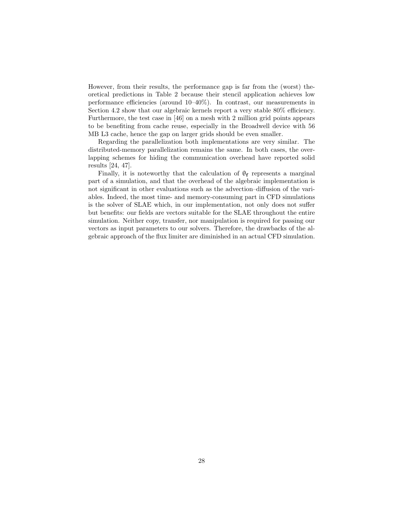However, from their results, the performance gap is far from the (worst) theoretical predictions in Table [2](#page-21-0) because their stencil application achieves low performance efficiencies (around 10–40%). In contrast, our measurements in Section [4.2](#page-23-1) show that our algebraic kernels report a very stable 80% efficiency. Furthermore, the test case in [\[46\]](#page-32-13) on a mesh with 2 million grid points appears to be benefiting from cache reuse, especially in the Broadwell device with 56 MB L3 cache, hence the gap on larger grids should be even smaller.

Regarding the parallelization both implementations are very similar. The distributed-memory parallelization remains the same. In both cases, the overlapping schemes for hiding the communication overhead have reported solid results [\[24,](#page-31-8) [47\]](#page-32-14).

Finally, it is noteworthy that the calculation of  $\theta_f$  represents a marginal part of a simulation, and that the overhead of the algebraic implementation is not significant in other evaluations such as the advection–diffusion of the variables. Indeed, the most time- and memory-consuming part in CFD simulations is the solver of SLAE which, in our implementation, not only does not suffer but benefits: our fields are vectors suitable for the SLAE throughout the entire simulation. Neither copy, transfer, nor manipulation is required for passing our vectors as input parameters to our solvers. Therefore, the drawbacks of the algebraic approach of the flux limiter are diminished in an actual CFD simulation.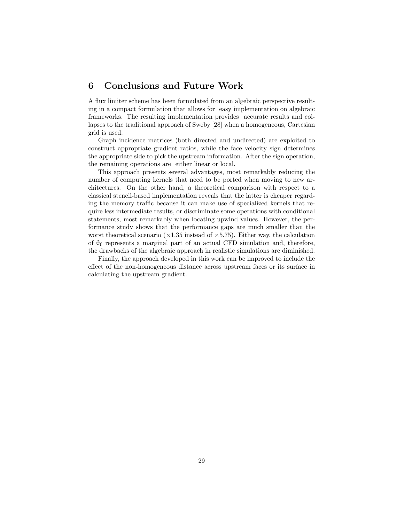### <span id="page-28-0"></span>6 Conclusions and Future Work

A flux limiter scheme has been formulated from an algebraic perspective resulting in a compact formulation that allows for easy implementation on algebraic frameworks. The resulting implementation provides accurate results and collapses to the traditional approach of Sweby [\[28\]](#page-31-12) when a homogeneous, Cartesian grid is used.

Graph incidence matrices (both directed and undirected) are exploited to construct appropriate gradient ratios, while the face velocity sign determines the appropriate side to pick the upstream information. After the sign operation, the remaining operations are either linear or local.

This approach presents several advantages, most remarkably reducing the number of computing kernels that need to be ported when moving to new architectures. On the other hand, a theoretical comparison with respect to a classical stencil-based implementation reveals that the latter is cheaper regarding the memory traffic because it can make use of specialized kernels that require less intermediate results, or discriminate some operations with conditional statements, most remarkably when locating upwind values. However, the performance study shows that the performance gaps are much smaller than the worst theoretical scenario ( $\times$ 1.35 instead of  $\times$ 5.75). Either way, the calculation of  $\theta_f$  represents a marginal part of an actual CFD simulation and, therefore, the drawbacks of the algebraic approach in realistic simulations are diminished.

Finally, the approach developed in this work can be improved to include the effect of the non-homogeneous distance across upstream faces or its surface in calculating the upstream gradient.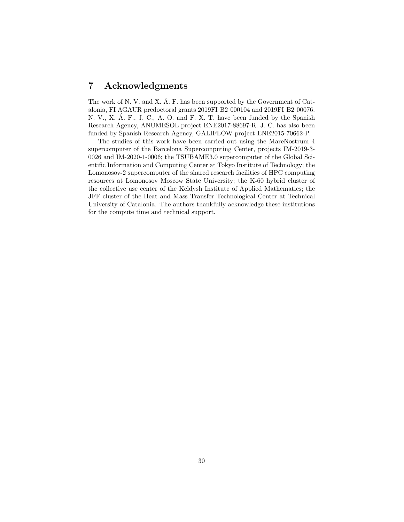# 7 Acknowledgments

The work of N. V. and X.  $\acute{A}$ . F. has been supported by the Government of Catalonia, FI AGAUR predoctoral grants 2019FI B2 000104 and 2019FI B2 00076. N. V., X. Á. F., J. C., A. O. and F. X. T. have been funded by the Spanish Research Agency, ANUMESOL project ENE2017-88697-R. J. C. has also been funded by Spanish Research Agency, GALIFLOW project ENE2015-70662-P.

The studies of this work have been carried out using the MareNostrum 4 supercomputer of the Barcelona Supercomputing Center, projects IM-2019-3- 0026 and IM-2020-1-0006; the TSUBAME3.0 supercomputer of the Global Scientific Information and Computing Center at Tokyo Institute of Technology; the Lomonosov-2 supercomputer of the shared research facilities of HPC computing resources at Lomonosov Moscow State University; the K-60 hybrid cluster of the collective use center of the Keldysh Institute of Applied Mathematics; the JFF cluster of the Heat and Mass Transfer Technological Center at Technical University of Catalonia. The authors thankfully acknowledge these institutions for the compute time and technical support.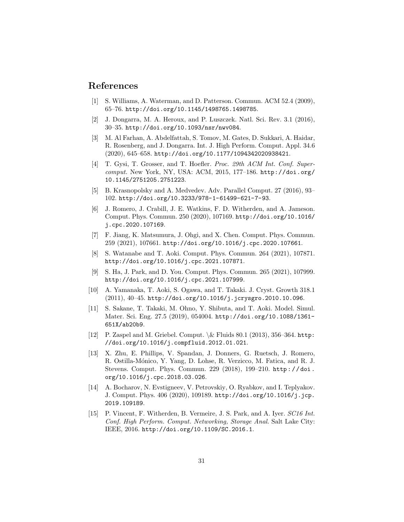### References

- <span id="page-30-0"></span>[1] S. Williams, A. Waterman, and D. Patterson. Commun. ACM 52.4 (2009), 65–76. <http://doi.org/10.1145/1498765.1498785>.
- <span id="page-30-1"></span>[2] J. Dongarra, M. A. Heroux, and P. Luszczek. Natl. Sci. Rev. 3.1 (2016), 30–35. <http://doi.org/10.1093/nsr/nwv084>.
- <span id="page-30-2"></span>[3] M. Al Farhan, A. Abdelfattah, S. Tomov, M. Gates, D. Sukkari, A. Haidar, R. Rosenberg, and J. Dongarra. Int. J. High Perform. Comput. Appl. 34.6 (2020), 645–658. <http://doi.org/10.1177/1094342020938421>.
- <span id="page-30-3"></span>[4] T. Gysi, T. Grosser, and T. Hoefler. *Proc. 29th ACM Int. Conf. Super*comput. New York, NY, USA: ACM, 2015, 177–186. [http://doi.org/](http://doi.org/10.1145/2751205.2751223) [10.1145/2751205.2751223](http://doi.org/10.1145/2751205.2751223).
- <span id="page-30-4"></span>[5] B. Krasnopolsky and A. Medvedev. Adv. Parallel Comput. 27 (2016), 93– 102. <http://doi.org/10.3233/978-1-61499-621-7-93>.
- <span id="page-30-5"></span>[6] J. Romero, J. Crabill, J. E. Watkins, F. D. Witherden, and A. Jameson. Comput. Phys. Commun. 250 (2020), 107169. [http://doi.org/10.1016/](http://doi.org/10.1016/j.cpc.2020.107169) [j.cpc.2020.107169](http://doi.org/10.1016/j.cpc.2020.107169).
- <span id="page-30-6"></span>[7] F. Jiang, K. Matsumura, J. Ohgi, and X. Chen. Comput. Phys. Commun. 259 (2021), 107661. <http://doi.org/10.1016/j.cpc.2020.107661>.
- <span id="page-30-7"></span>[8] S. Watanabe and T. Aoki. Comput. Phys. Commun. 264 (2021), 107871. <http://doi.org/10.1016/j.cpc.2021.107871>.
- <span id="page-30-8"></span>[9] S. Ha, J. Park, and D. You. Comput. Phys. Commun. 265 (2021), 107999. <http://doi.org/10.1016/j.cpc.2021.107999>.
- <span id="page-30-9"></span>[10] A. Yamanaka, T. Aoki, S. Ogawa, and T. Takaki. J. Cryst. Growth 318.1 (2011), 40–45. <http://doi.org/10.1016/j.jcrysgro.2010.10.096>.
- <span id="page-30-10"></span>[11] S. Sakane, T. Takaki, M. Ohno, Y. Shibuta, and T. Aoki. Model. Simul. Mater. Sci. Eng. 27.5 (2019), 054004. [http://doi.org/10.1088/1361-](http://doi.org/10.1088/1361-651X/ab20b9) [651X/ab20b9](http://doi.org/10.1088/1361-651X/ab20b9).
- <span id="page-30-11"></span>[12] P. Zaspel and M. Griebel. Comput.  $\&$  Fluids 80.1 (2013), 356–364. [http:](http://doi.org/10.1016/j.compfluid.2012.01.021) [//doi.org/10.1016/j.compfluid.2012.01.021](http://doi.org/10.1016/j.compfluid.2012.01.021).
- <span id="page-30-12"></span>[13] X. Zhu, E. Phillips, V. Spandan, J. Donners, G. Ruetsch, J. Romero, R. Ostilla-Mónico, Y. Yang, D. Lohse, R. Verzicco, M. Fatica, and R. J. Stevens. Comput. Phys. Commun. 229 (2018), 199–210. [http : / / doi .](http://doi.org/10.1016/j.cpc.2018.03.026) [org/10.1016/j.cpc.2018.03.026](http://doi.org/10.1016/j.cpc.2018.03.026).
- <span id="page-30-13"></span>[14] A. Bocharov, N. Evstigneev, V. Petrovskiy, O. Ryabkov, and I. Teplyakov. J. Comput. Phys. 406 (2020), 109189. [http://doi.org/10.1016/j.jcp.](http://doi.org/10.1016/j.jcp.2019.109189) [2019.109189](http://doi.org/10.1016/j.jcp.2019.109189).
- <span id="page-30-14"></span>[15] P. Vincent, F. Witherden, B. Vermeire, J. S. Park, and A. Iyer. SC16 Int. Conf. High Perform. Comput. Networking, Storage Anal. Salt Lake City: IEEE, 2016. <http://doi.org/10.1109/SC.2016.1>.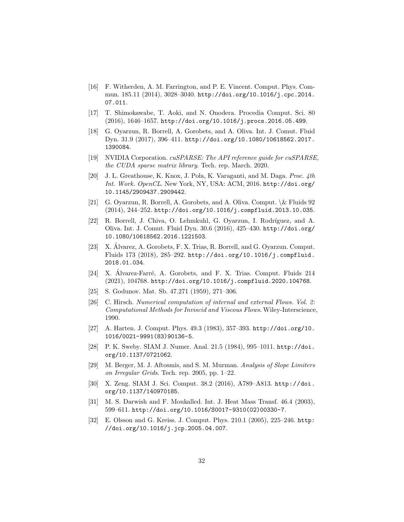- <span id="page-31-0"></span>[16] F. Witherden, A. M. Farrington, and P. E. Vincent. Comput. Phys. Commun. 185.11 (2014), 3028–3040. [http://doi.org/10.1016/j.cpc.2014.](http://doi.org/10.1016/j.cpc.2014.07.011) [07.011](http://doi.org/10.1016/j.cpc.2014.07.011).
- <span id="page-31-1"></span>[17] T. Shimokawabe, T. Aoki, and N. Onodera. Procedia Comput. Sci. 80 (2016), 1646–1657. <http://doi.org/10.1016/j.procs.2016.05.499>.
- <span id="page-31-2"></span>[18] G. Oyarzun, R. Borrell, A. Gorobets, and A. Oliva. Int. J. Comut. Fluid Dyn. 31.9 (2017), 396–411. [http://doi.org/10.1080/10618562.2017.](http://doi.org/10.1080/10618562.2017.1390084) [1390084](http://doi.org/10.1080/10618562.2017.1390084).
- <span id="page-31-3"></span>[19] NVIDIA Corporation. cuSPARSE: The API reference guide for cuSPARSE, the CUDA sparse matrix library. Tech. rep. March. 2020.
- <span id="page-31-4"></span>[20] J. L. Greathouse, K. Knox, J. Poła, K. Varaganti, and M. Daga. Proc.  $4th$ Int. Work. OpenCL. New York, NY, USA: ACM, 2016. [http://doi.org/](http://doi.org/10.1145/2909437.2909442) [10.1145/2909437.2909442](http://doi.org/10.1145/2909437.2909442).
- <span id="page-31-5"></span>[21] G. Oyarzun, R. Borrell, A. Gorobets, and A. Oliva. Comput. \& Fluids 92 (2014), 244–252. <http://doi.org/10.1016/j.compfluid.2013.10.035>.
- <span id="page-31-6"></span>[22] R. Borrell, J. Chiva, O. Lehmkuhl, G. Oyarzun, I. Rodríguez, and A. Oliva. Int. J. Comut. Fluid Dyn. 30.6 (2016), 425–430. [http://doi.org/](http://doi.org/10.1080/10618562.2016.1221503) [10.1080/10618562.2016.1221503](http://doi.org/10.1080/10618562.2016.1221503).
- <span id="page-31-7"></span>[23] X. Álvarez, A. Gorobets, F. X. Trias, R. Borrell, and G. Oyarzun. Comput. Fluids 173 (2018), 285–292. [http://doi.org/10.1016/j.compfluid.](http://doi.org/10.1016/j.compfluid.2018.01.034) [2018.01.034](http://doi.org/10.1016/j.compfluid.2018.01.034).
- <span id="page-31-8"></span>[24] X. Alvarez-Farré, A. Gorobets, and F. X. Trias. Comput. Fluids 214 (2021), 104768. <http://doi.org/10.1016/j.compfluid.2020.104768>.
- <span id="page-31-9"></span>[25] S. Godunov. Mat. Sb. 47.271 (1959), 271–306.
- <span id="page-31-10"></span>[26] C. Hirsch. Numerical computation of internal and external Flows. Vol. 2: Computational Methods for Inviscid and Viscous Flows. Wiley-Interscience, 1990.
- <span id="page-31-11"></span>[27] A. Harten. J. Comput. Phys. 49.3 (1983), 357–393. [http://doi.org/10.](http://doi.org/10.1016/0021-9991(83)90136-5) [1016/0021-9991\(83\)90136-5](http://doi.org/10.1016/0021-9991(83)90136-5).
- <span id="page-31-12"></span>[28] P. K. Sweby. SIAM J. Numer. Anal. 21.5 (1984), 995–1011. [http://doi.](http://doi.org/10.1137/0721062) [org/10.1137/0721062](http://doi.org/10.1137/0721062).
- <span id="page-31-13"></span>[29] M. Berger, M. J. Aftosmis, and S. M. Murman. Analysis of Slope Limiters on Irregular Grids. Tech. rep. 2005, pp. 1–22.
- <span id="page-31-14"></span>[30] X. Zeng. SIAM J. Sci. Comput. 38.2 (2016), A789–A813. [http://doi.](http://doi.org/10.1137/140970185) [org/10.1137/140970185](http://doi.org/10.1137/140970185).
- <span id="page-31-15"></span>[31] M. S. Darwish and F. Moukalled. Int. J. Heat Mass Transf. 46.4 (2003), 599–611. [http://doi.org/10.1016/S0017-9310\(02\)00330-7](http://doi.org/10.1016/S0017-9310(02)00330-7).
- <span id="page-31-16"></span>[32] E. Olsson and G. Kreiss. J. Comput. Phys. 210.1 (2005), 225–246. [http:](http://doi.org/10.1016/j.jcp.2005.04.007) [//doi.org/10.1016/j.jcp.2005.04.007](http://doi.org/10.1016/j.jcp.2005.04.007).